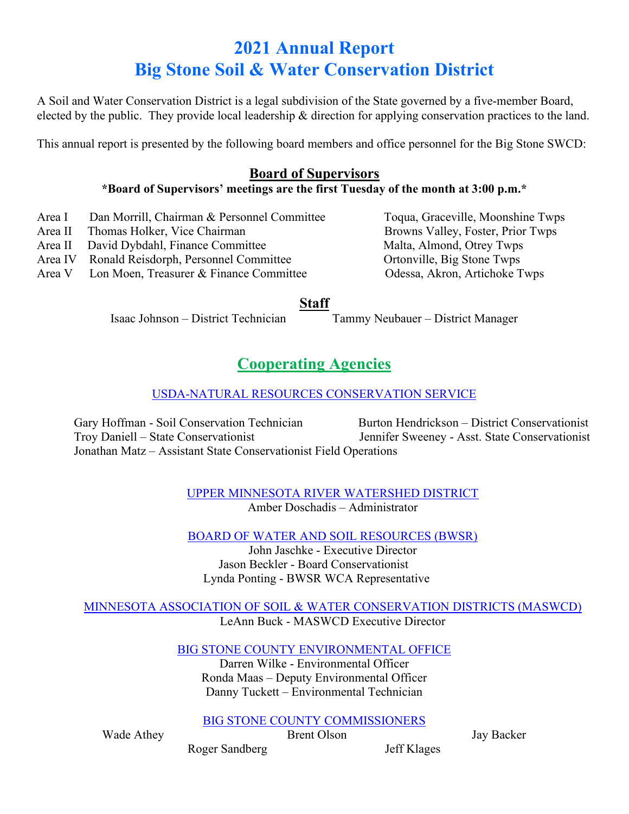# **2021 Annual Report Big Stone Soil & Water Conservation District**

A Soil and Water Conservation District is a legal subdivision of the State governed by a five-member Board, elected by the public. They provide local leadership & direction for applying conservation practices to the land.

This annual report is presented by the following board members and office personnel for the Big Stone SWCD:

### **Board of Supervisors**

#### **\*Board of Supervisors' meetings are the first Tuesday of the month at 3:00 p.m.\***

- Area I Dan Morrill, Chairman & Personnel Committee Toqua, Graceville, Moonshine Twps
- Area II Thomas Holker, Vice Chairman Browns Valley, Foster, Prior Twps
- Area II David Dybdahl, Finance Committee Malta, Almond, Otrey Twps
- Area IV Ronald Reisdorph, Personnel Committee Ortonville, Big Stone Twps
- Area V Lon Moen, Treasurer & Finance Committee Odessa, Akron, Artichoke Twps

### **Staff**

Isaac Johnson – District Technician Tammy Neubauer – District Manager

## **Cooperating Agencies**

### USDA-NATURAL RESOURCES CONSERVATION SERVICE

Gary Hoffman - Soil Conservation Technician Burton Hendrickson – District Conservationist Troy Daniell – State Conservationist Jennifer Sweeney - Asst. State Conservationist Jonathan Matz – Assistant State Conservationist Field Operations

UPPER MINNESOTA RIVER WATERSHED DISTRICT Amber Doschadis – Administrator

BOARD OF WATER AND SOIL RESOURCES (BWSR)

John Jaschke - Executive Director Jason Beckler - Board Conservationist Lynda Ponting - BWSR WCA Representative

#### MINNESOTA ASSOCIATION OF SOIL & WATER CONSERVATION DISTRICTS (MASWCD) LeAnn Buck - MASWCD Executive Director

BIG STONE COUNTY ENVIRONMENTAL OFFICE

Darren Wilke - Environmental Officer Ronda Maas – Deputy Environmental Officer Danny Tuckett – Environmental Technician

BIG STONE COUNTY COMMISSIONERS

Wade Athey **Brent Olson** Jay Backer

Roger Sandberg Jeff Klages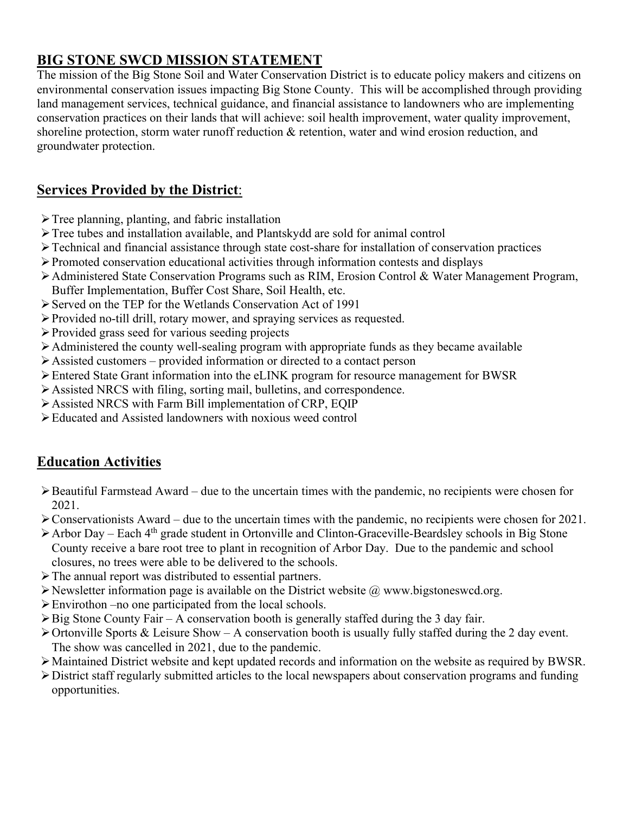### **BIG STONE SWCD MISSION STATEMENT**

The mission of the Big Stone Soil and Water Conservation District is to educate policy makers and citizens on environmental conservation issues impacting Big Stone County. This will be accomplished through providing land management services, technical guidance, and financial assistance to landowners who are implementing conservation practices on their lands that will achieve: soil health improvement, water quality improvement, shoreline protection, storm water runoff reduction & retention, water and wind erosion reduction, and groundwater protection.

### **Services Provided by the District**:

- $\triangleright$  Tree planning, planting, and fabric installation
- Tree tubes and installation available, and Plantskydd are sold for animal control
- $\triangleright$  Technical and financial assistance through state cost-share for installation of conservation practices
- Promoted conservation educational activities through information contests and displays
- Administered State Conservation Programs such as RIM, Erosion Control & Water Management Program, Buffer Implementation, Buffer Cost Share, Soil Health, etc.
- Served on the TEP for the Wetlands Conservation Act of 1991
- Provided no-till drill, rotary mower, and spraying services as requested.
- Provided grass seed for various seeding projects
- Administered the county well-sealing program with appropriate funds as they became available
- $\triangleright$  Assisted customers provided information or directed to a contact person
- Entered State Grant information into the eLINK program for resource management for BWSR
- Assisted NRCS with filing, sorting mail, bulletins, and correspondence.
- Assisted NRCS with Farm Bill implementation of CRP, EQIP
- Educated and Assisted landowners with noxious weed control

### **Education Activities**

- $\triangleright$  Beautiful Farmstead Award due to the uncertain times with the pandemic, no recipients were chosen for 2021.
- $\triangleright$  Conservationists Award due to the uncertain times with the pandemic, no recipients were chosen for 2021.
- $\triangleright$  Arbor Day Each 4<sup>th</sup> grade student in Ortonville and Clinton-Graceville-Beardsley schools in Big Stone County receive a bare root tree to plant in recognition of Arbor Day. Due to the pandemic and school closures, no trees were able to be delivered to the schools.
- The annual report was distributed to essential partners.
- $\triangleright$  Newsletter information page is available on the District website  $\omega$  www.bigstoneswcd.org.
- Envirothon –no one participated from the local schools.
- $\triangleright$  Big Stone County Fair A conservation booth is generally staffed during the 3 day fair.
- $\triangleright$  Ortonville Sports & Leisure Show A conservation booth is usually fully staffed during the 2 day event. The show was cancelled in 2021, due to the pandemic.
- Maintained District website and kept updated records and information on the website as required by BWSR.
- District staff regularly submitted articles to the local newspapers about conservation programs and funding opportunities.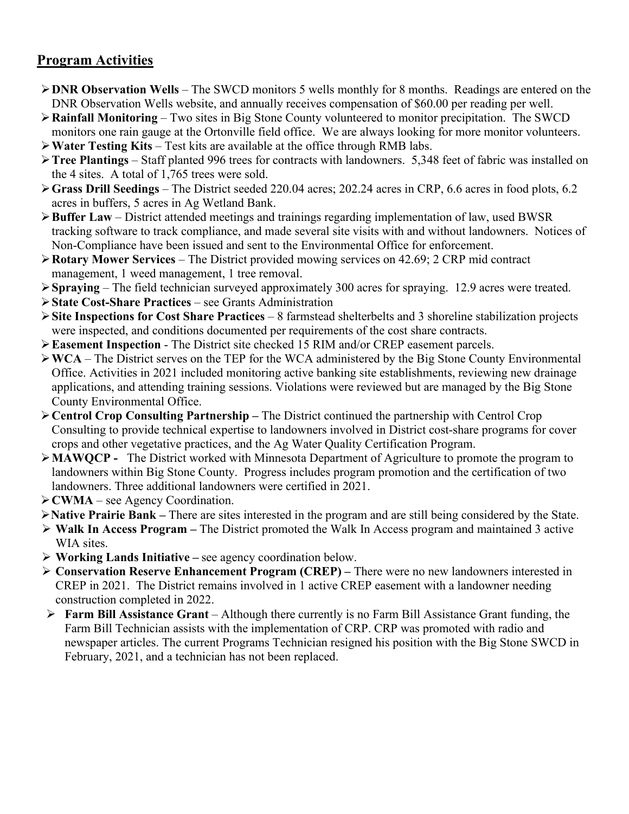### **Program Activities**

- **DNR Observation Wells** The SWCD monitors 5 wells monthly for 8 months. Readings are entered on the DNR Observation Wells website, and annually receives compensation of \$60.00 per reading per well.
- **Rainfall Monitoring** Two sites in Big Stone County volunteered to monitor precipitation. The SWCD monitors one rain gauge at the Ortonville field office. We are always looking for more monitor volunteers.
- **Water Testing Kits** Test kits are available at the office through RMB labs.
- **Tree Plantings** Staff planted 996 trees for contracts with landowners. 5,348 feet of fabric was installed on the 4 sites. A total of 1,765 trees were sold.
- **Grass Drill Seedings** The District seeded 220.04 acres; 202.24 acres in CRP, 6.6 acres in food plots, 6.2 acres in buffers, 5 acres in Ag Wetland Bank.
- **Buffer Law** District attended meetings and trainings regarding implementation of law, used BWSR tracking software to track compliance, and made several site visits with and without landowners. Notices of Non-Compliance have been issued and sent to the Environmental Office for enforcement.
- **Rotary Mower Services**  The District provided mowing services on 42.69; 2 CRP mid contract management, 1 weed management, 1 tree removal.
- **Spraying**  The field technician surveyed approximately 300 acres for spraying. 12.9 acres were treated.
- **State Cost-Share Practices** see Grants Administration
- **Site Inspections for Cost Share Practices**  8 farmstead shelterbelts and 3 shoreline stabilization projects were inspected, and conditions documented per requirements of the cost share contracts.
- **Easement Inspection** The District site checked 15 RIM and/or CREP easement parcels.
- **WCA** The District serves on the TEP for the WCA administered by the Big Stone County Environmental Office. Activities in 2021 included monitoring active banking site establishments, reviewing new drainage applications, and attending training sessions. Violations were reviewed but are managed by the Big Stone County Environmental Office.
- **Centrol Crop Consulting Partnership –** The District continued the partnership with Centrol Crop Consulting to provide technical expertise to landowners involved in District cost-share programs for cover crops and other vegetative practices, and the Ag Water Quality Certification Program.
- **MAWQCP -** The District worked with Minnesota Department of Agriculture to promote the program to landowners within Big Stone County. Progress includes program promotion and the certification of two landowners. Three additional landowners were certified in 2021.
- **CWMA**  see Agency Coordination.
- **Native Prairie Bank –** There are sites interested in the program and are still being considered by the State.
- **Walk In Access Program –** The District promoted the Walk In Access program and maintained 3 active WIA sites.
- **Working Lands Initiative –** see agency coordination below.
- **Conservation Reserve Enhancement Program (CREP) –** There were no new landowners interested in CREP in 2021. The District remains involved in 1 active CREP easement with a landowner needing construction completed in 2022.
- **Farm Bill Assistance Grant**  Although there currently is no Farm Bill Assistance Grant funding, the Farm Bill Technician assists with the implementation of CRP. CRP was promoted with radio and newspaper articles. The current Programs Technician resigned his position with the Big Stone SWCD in February, 2021, and a technician has not been replaced.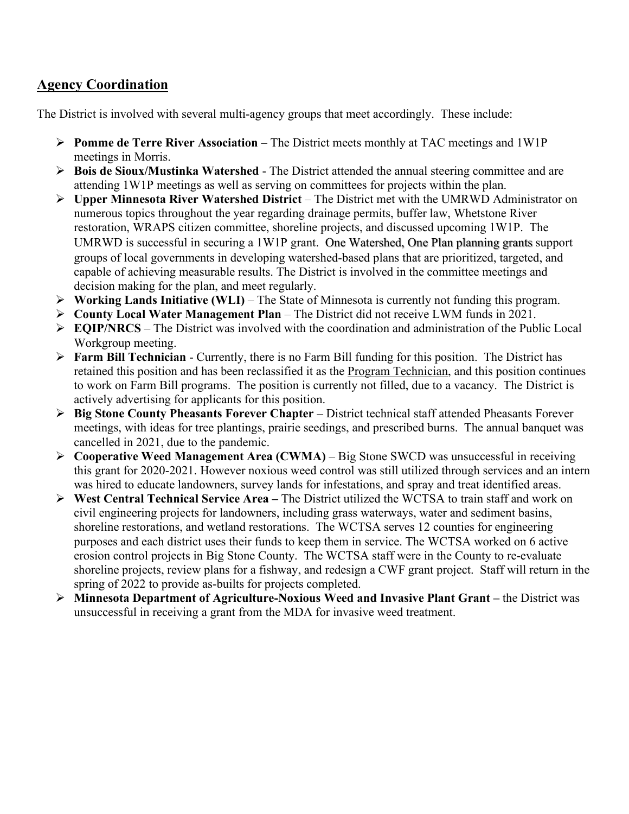### **Agency Coordination**

The District is involved with several multi-agency groups that meet accordingly. These include:

- **Pomme de Terre River Association** The District meets monthly at TAC meetings and 1W1P meetings in Morris.
- **Bois de Sioux/Mustinka Watershed**  The District attended the annual steering committee and are attending 1W1P meetings as well as serving on committees for projects within the plan.
- **Upper Minnesota River Watershed District**  The District met with the UMRWD Administrator on numerous topics throughout the year regarding drainage permits, buffer law, Whetstone River restoration, WRAPS citizen committee, shoreline projects, and discussed upcoming 1W1P. The UMRWD is successful in securing a 1W1P grant. One Watershed, One Plan planning grants support groups of local governments in developing watershed-based plans that are prioritized, targeted, and capable of achieving measurable results. The District is involved in the committee meetings and decision making for the plan, and meet regularly.
- **Working Lands Initiative (WLI)** The State of Minnesota is currently not funding this program.
- **County Local Water Management Plan** The District did not receive LWM funds in 2021.
- $\triangleright$  **EQIP/NRCS** The District was involved with the coordination and administration of the Public Local Workgroup meeting.
- **Farm Bill Technician** Currently, there is no Farm Bill funding for this position. The District has retained this position and has been reclassified it as the Program Technician, and this position continues to work on Farm Bill programs. The position is currently not filled, due to a vacancy. The District is actively advertising for applicants for this position.
- **Big Stone County Pheasants Forever Chapter**  District technical staff attended Pheasants Forever meetings, with ideas for tree plantings, prairie seedings, and prescribed burns. The annual banquet was cancelled in 2021, due to the pandemic.
- **Cooperative Weed Management Area (CWMA)** Big Stone SWCD was unsuccessful in receiving this grant for 2020-2021. However noxious weed control was still utilized through services and an intern was hired to educate landowners, survey lands for infestations, and spray and treat identified areas.
- **West Central Technical Service Area –** The District utilized the WCTSA to train staff and work on civil engineering projects for landowners, including grass waterways, water and sediment basins, shoreline restorations, and wetland restorations. The WCTSA serves 12 counties for engineering purposes and each district uses their funds to keep them in service. The WCTSA worked on 6 active erosion control projects in Big Stone County. The WCTSA staff were in the County to re-evaluate shoreline projects, review plans for a fishway, and redesign a CWF grant project. Staff will return in the spring of 2022 to provide as-builts for projects completed.
- **Minnesota Department of Agriculture-Noxious Weed and Invasive Plant Grant –** the District was unsuccessful in receiving a grant from the MDA for invasive weed treatment.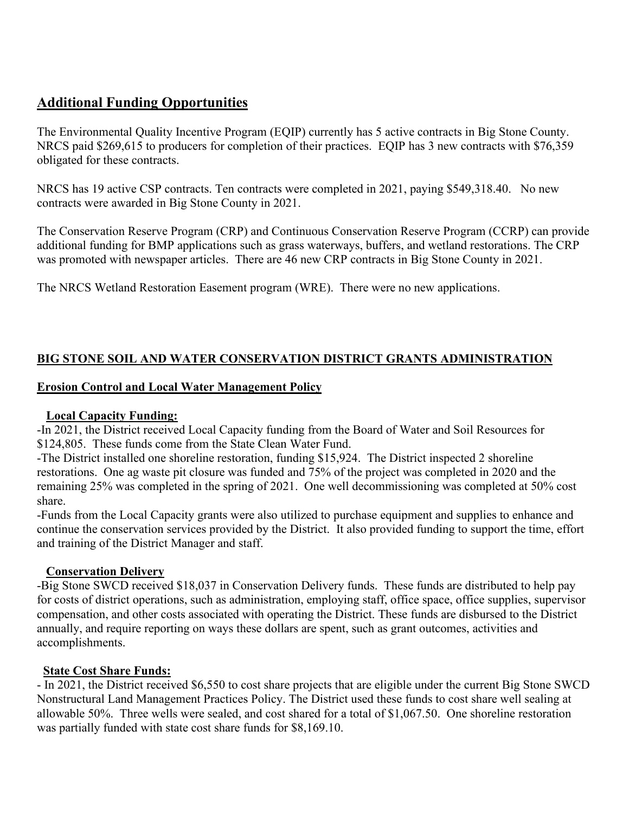### **Additional Funding Opportunities**

The Environmental Quality Incentive Program (EQIP) currently has 5 active contracts in Big Stone County. NRCS paid \$269,615 to producers for completion of their practices. EQIP has 3 new contracts with \$76,359 obligated for these contracts.

NRCS has 19 active CSP contracts. Ten contracts were completed in 2021, paying \$549,318.40. No new contracts were awarded in Big Stone County in 2021.

The Conservation Reserve Program (CRP) and Continuous Conservation Reserve Program (CCRP) can provide additional funding for BMP applications such as grass waterways, buffers, and wetland restorations. The CRP was promoted with newspaper articles. There are 46 new CRP contracts in Big Stone County in 2021.

The NRCS Wetland Restoration Easement program (WRE). There were no new applications.

### **BIG STONE SOIL AND WATER CONSERVATION DISTRICT GRANTS ADMINISTRATION**

#### **Erosion Control and Local Water Management Policy**

#### **Local Capacity Funding:**

-In 2021, the District received Local Capacity funding from the Board of Water and Soil Resources for \$124,805. These funds come from the State Clean Water Fund.

-The District installed one shoreline restoration, funding \$15,924. The District inspected 2 shoreline restorations. One ag waste pit closure was funded and 75% of the project was completed in 2020 and the remaining 25% was completed in the spring of 2021. One well decommissioning was completed at 50% cost share.

-Funds from the Local Capacity grants were also utilized to purchase equipment and supplies to enhance and continue the conservation services provided by the District. It also provided funding to support the time, effort and training of the District Manager and staff.

#### **Conservation Delivery**

-Big Stone SWCD received \$18,037 in Conservation Delivery funds. These funds are distributed to help pay for costs of district operations, such as administration, employing staff, office space, office supplies, supervisor compensation, and other costs associated with operating the District. These funds are disbursed to the District annually, and require reporting on ways these dollars are spent, such as grant outcomes, activities and accomplishments.

#### **State Cost Share Funds:**

- In 2021, the District received \$6,550 to cost share projects that are eligible under the current Big Stone SWCD Nonstructural Land Management Practices Policy. The District used these funds to cost share well sealing at allowable 50%. Three wells were sealed, and cost shared for a total of \$1,067.50. One shoreline restoration was partially funded with state cost share funds for \$8,169.10.